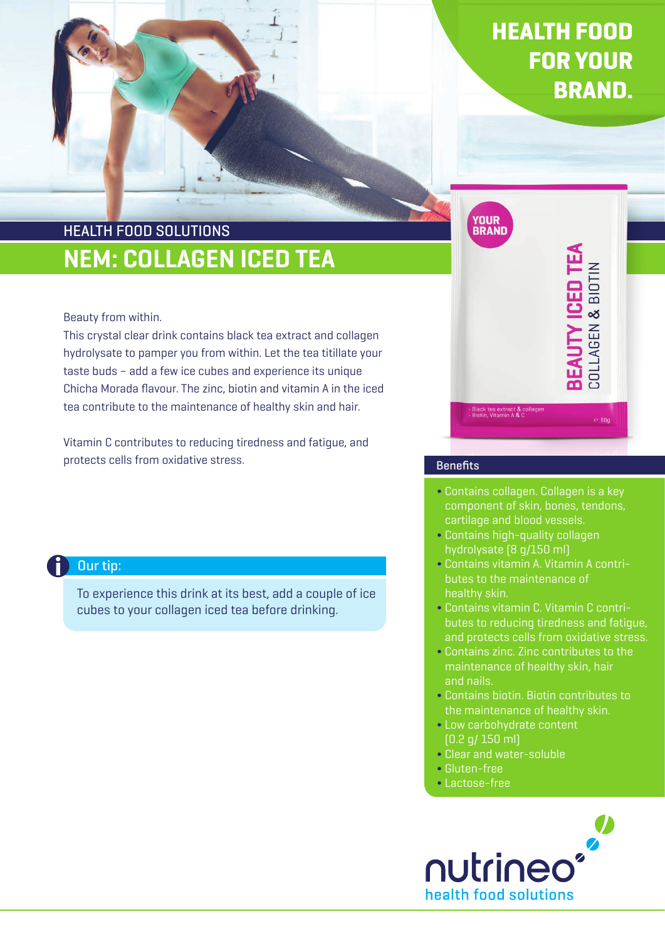# HEALTH FOOD FOR YOUR BRAND.

## NEM: COLLAGEN ICED TEA HEALTH FOOD SOLUTIONS

### Beauty from within.

This crystal clear drink contains black tea extract and collagen hydrolysate to pamper you from within. Let the tea titillate your taste buds – add a few ice cubes and experience its unique Chicha Morada flavour. The zinc, biotin and vitamin A in the iced tea contribute to the maintenance of healthy skin and hair.

Vitamin C contributes to reducing tiredness and fatigue, and protects cells from oxidative stress.

### Our tip:

To experience this drink at its best, add a couple of ice cubes to your collagen iced tea before drinking.



### **Benefits**

- Contains collagen. Collagen is a key component of skin, bones, tendons, cartilage and blood vessels.
- Contains high-quality collagen hydrolysate (8 g/150 ml)
- Contains vitamin A. Vitamin A contributes to the maintenance of healthy skin.
- Contains vitamin C. Vitamin C contributes to reducing tiredness and fatigue, and protects cells from oxidative stress.
- Contains zinc. Zinc contributes to the maintenance of healthy skin, hair and nails.
- Contains biotin. Biotin contributes to the maintenance of healthy skin.
- Low carbohydrate content (0.2 g/ 150 ml)
- Clear and water-soluble
- Gluten-free
- Lactose-free